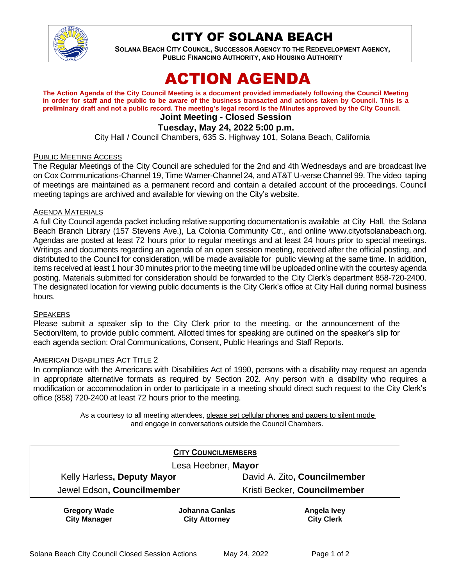

# CITY OF SOLANA BEACH

**SOLANA BEACH CITY COUNCIL, SUCCESSOR AGENCY TO THE REDEVELOPMENT AGENCY, PUBLIC FINANCING AUTHORITY, AND HOUSING AUTHORITY** 

# ACTION AGENDA

**The Action Agenda of the City Council Meeting is a document provided immediately following the Council Meeting in order for staff and the public to be aware of the business transacted and actions taken by Council. This is a preliminary draft and not a public record. The meeting's legal record is the Minutes approved by the City Council.**

# **Joint Meeting - Closed Session**

# **Tuesday, May 24, 2022 5:00 p.m.**

City Hall / Council Chambers, 635 S. Highway 101, Solana Beach, California

#### PUBLIC MEETING ACCESS

The Regular Meetings of the City Council are scheduled for the 2nd and 4th Wednesdays and are broadcast live on Cox Communications-Channel 19, Time Warner-Channel 24, and AT&T U-verse Channel 99. The video taping of meetings are maintained as a permanent record and contain a detailed account of the proceedings. Council meeting tapings are archived and available for viewing on the City's website.

#### AGENDA MATERIALS

A full City Council agenda packet including relative supporting documentation is available at City Hall, the Solana Beach Branch Library (157 Stevens Ave.), La Colonia Community Ctr., and online [www.cityofsolanabeach.org.](http://www.cityofsolanabeach.org/) Agendas are posted at least 72 hours prior to regular meetings and at least 24 hours prior to special meetings. Writings and documents regarding an agenda of an open session meeting, received after the official posting, and distributed to the Council for consideration, will be made available for public viewing at the same time. In addition, items received at least 1 hour 30 minutes prior to the meeting time will be uploaded online with the courtesy agenda posting. Materials submitted for consideration should be forwarded to the City Clerk's department 858-720-2400. The designated location for viewing public documents is the City Clerk's office at City Hall during normal business hours.

#### **SPEAKERS**

Please submit a speaker slip to the City Clerk prior to the meeting, or the announcement of the Section/Item, to provide public comment. Allotted times for speaking are outlined on the speaker's slip for each agenda section: Oral Communications, Consent, Public Hearings and Staff Reports.

#### AMERICAN DISABILITIES ACT TITLE 2

In compliance with the Americans with Disabilities Act of 1990, persons with a disability may request an agenda in appropriate alternative formats as required by Section 202. Any person with a disability who requires a modification or accommodation in order to participate in a meeting should direct such request to the City Clerk's office (858) 720-2400 at least 72 hours prior to the meeting.

> As a courtesy to all meeting attendees, please set cellular phones and pagers to silent mode and engage in conversations outside the Council Chambers.

| <b>CITY COUNCILMEMBERS</b>                 |                                        |                                         |
|--------------------------------------------|----------------------------------------|-----------------------------------------|
| Lesa Heebner, Mayor                        |                                        |                                         |
| Kelly Harless, Deputy Mayor                |                                        | David A. Zito, Councilmember            |
| Jewel Edson, Councilmember                 |                                        | Kristi Becker, Councilmember            |
| <b>Gregory Wade</b><br><b>City Manager</b> | Johanna Canlas<br><b>City Attorney</b> | <b>Angela Ivey</b><br><b>City Clerk</b> |